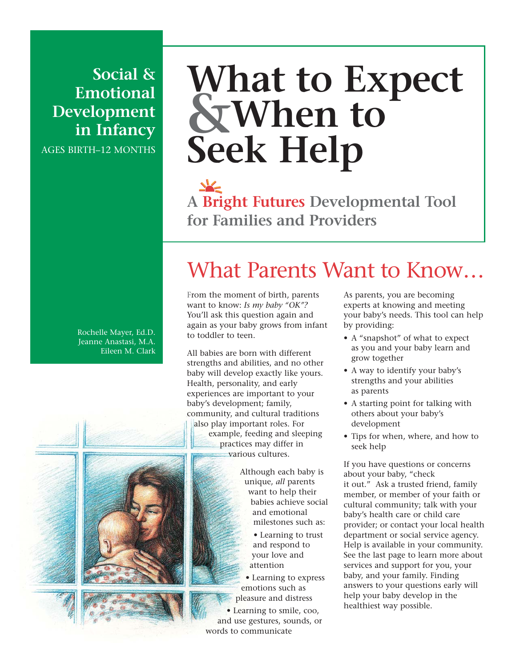**Social & Emotional Development in Infancy** AGES BIRTH–12 MONTHS

# **What to Expect &When to Seek Help**

**A Bright Futures Developmental Tool for Families and Providers**

What Parents Want to Know…

#### Rochelle Mayer, Ed.D. Jeanne Anastasi, M.A. Eileen M. Clark

All babies are born with different strengths and abilities, and no other baby will develop exactly like yours. Health, personality, and early experiences are important to your baby's development; family, community, and cultural traditions also play important roles. For example, feeding and sleeping practices may differ in various cultures.

From the moment of birth, parents want to know: *Is my baby "OK"?* You'll ask this question again and again as your baby grows from infant

to toddler to teen.



Although each baby is unique, *all* parents want to help their babies achieve social and emotional milestones such as:

> • Learning to trust and respond to your love and attention

• Learning to express emotions such as pleasure and distress

• Learning to smile, coo, and use gestures, sounds, or words to communicate

As parents, you are becoming experts at knowing and meeting your baby's needs. This tool can help by providing:

- A "snapshot" of what to expect as you and your baby learn and grow together
- A way to identify your baby's strengths and your abilities as parents
- A starting point for talking with others about your baby's development
- Tips for when, where, and how to seek help

If you have questions or concerns about your baby, "check it out." Ask a trusted friend, family member, or member of your faith or cultural community; talk with your baby's health care or child care provider; or contact your local health department or social service agency. Help is available in your community. See the last page to learn more about services and support for you, your baby, and your family. Finding answers to your questions early will help your baby develop in the healthiest way possible.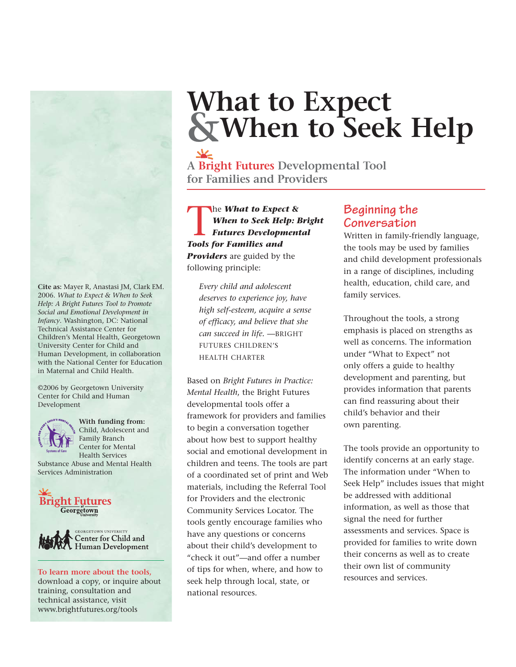**Cite as:** Mayer R, Anastasi JM, Clark EM. 2006. *What to Expect & When to Seek Help: A Bright Futures Tool to Promote Social and Emotional Development in Infancy*. Washington, DC: National Technical Assistance Center for Children's Mental Health, Georgetown University Center for Child and Human Development, in collaboration with the National Center for Education in Maternal and Child Health.

©2006 by Georgetown University Center for Child and Human Development



**With funding from:** Child, Adolescent and Family Branch Center for Mental Health Services

Substance Abuse and Mental Health Services Administration





download a copy, or inquire about training, consultation and technical assistance, visit www.brightfutures.org/tools

# **What to Expect &When to Seek Help**

**A Bright Futures Developmental Tool for Families and Providers**

The *What to Expect &*<br>When to Seek Help: E<br>Futures Development<br>Tools for Families and *When to Seek Help: Bright Futures Developmental Tools for Families and Providers* are guided by the following principle:

*Every child and adolescent deserves to experience joy, have high self-esteem, acquire a sense of efficacy, and believe that she can succeed in life.* —BRIGHT FUTURES CHILDREN'S HEALTH CHARTER

Based on *Bright Futures in Practice: Mental Health*, the Bright Futures developmental tools offer a framework for providers and families to begin a conversation together about how best to support healthy social and emotional development in children and teens. The tools are part of a coordinated set of print and Web materials, including the Referral Tool for Providers and the electronic Community Services Locator. The tools gently encourage families who have any questions or concerns about their child's development to "check it out"—and offer a number of tips for when, where, and how to seek help through local, state, or national resources. To learn more about the tools, of tips for when, where, and now to the services and services.

### **Beginning the Conversation**

Written in family-friendly language, the tools may be used by families and child development professionals in a range of disciplines, including health, education, child care, and family services.

Throughout the tools, a strong emphasis is placed on strengths as well as concerns. The information under "What to Expect" not only offers a guide to healthy development and parenting, but provides information that parents can find reassuring about their child's behavior and their own parenting.

The tools provide an opportunity to identify concerns at an early stage. The information under "When to Seek Help" includes issues that might be addressed with additional information, as well as those that signal the need for further assessments and services. Space is provided for families to write down their concerns as well as to create their own list of community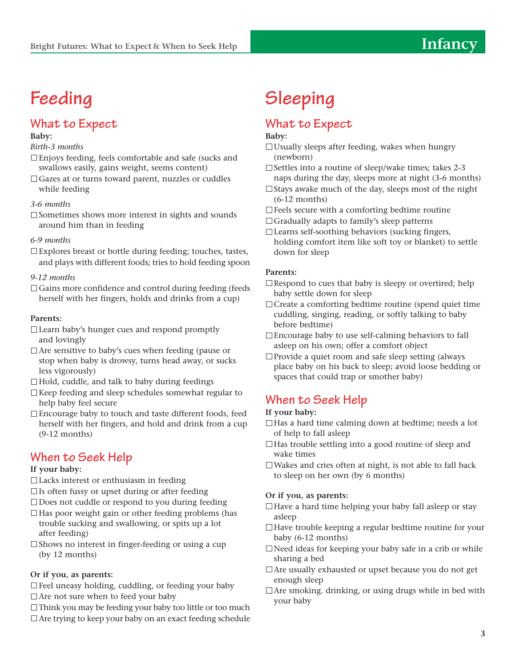## **Feeding**

## **What to Expect**

#### **Baby:**

#### *Birth-3 months*

- Enjoys feeding, feels comfortable and safe (sucks and swallows easily, gains weight, seems content)
- □ Gazes at or turns toward parent, nuzzles or cuddles while feeding

#### *3-6 months*

 $\square$  Sometimes shows more interest in sights and sounds around him than in feeding

#### *6-9 months*

 $\square$  Explores breast or bottle during feeding; touches, tastes, and plays with different foods; tries to hold feeding spoon

#### *9-12 months*

 $\Box$  Gains more confidence and control during feeding (feeds) herself with her fingers, holds and drinks from a cup)

#### **Parents:**

- □ Learn baby's hunger cues and respond promptly and lovingly
- $\Box$  Are sensitive to baby's cues when feeding (pause or stop when baby is drowsy, turns head away, or sucks less vigorously)
- $\Box$  Hold, cuddle, and talk to baby during feedings
- $\Box$  Keep feeding and sleep schedules somewhat regular to help baby feel secure
- Encourage baby to touch and taste different foods, feed herself with her fingers, and hold and drink from a cup (9-12 months)

### **When to Seek Help**

#### **If your baby:**

- $\Box$  Lacks interest or enthusiasm in feeding
- $\square$  Is often fussy or upset during or after feeding
- $\square$  Does not cuddle or respond to you during feeding
- $\Box$  Has poor weight gain or other feeding problems (has trouble sucking and swallowing, or spits up a lot after feeding)
- $\square$  Shows no interest in finger-feeding or using a cup (by 12 months)

#### **Or if you, as parents:**

Feel uneasy holding, cuddling, or feeding your baby □ Are not sure when to feed your baby

 $\Box$  Think you may be feeding your baby too little or too much  $\Box$  Are trying to keep your baby on an exact feeding schedule

## **Sleeping**

## **What to Expect**

#### **Baby:**

- $\Box$  Usually sleeps after feeding, wakes when hungry (newborn)
- $\square$  Settles into a routine of sleep/wake times; takes 2-3 naps during the day, sleeps more at night (3-6 months)
- $\Box$  Stays awake much of the day, sleeps most of the night (6-12 months)
- $\Box$  Feels secure with a comforting bedtime routine
- $\Box$  Gradually adapts to family's sleep patterns
- Learns self-soothing behaviors (sucking fingers, holding comfort item like soft toy or blanket) to settle down for sleep

#### **Parents:**

- $\Box$  Respond to cues that baby is sleepy or overtired; help baby settle down for sleep
- $\Box$  Create a comforting bedtime routine (spend quiet time cuddling, singing, reading, or softly talking to baby before bedtime)
- $\Box$  Encourage baby to use self-calming behaviors to fall asleep on his own; offer a comfort object
- □ Provide a quiet room and safe sleep setting (always place baby on his back to sleep; avoid loose bedding or spaces that could trap or smother baby)

## **When to Seek Help**

#### **If your baby:**

- $\Box$  Has a hard time calming down at bedtime; needs a lot of help to fall asleep
- $\Box$  Has trouble settling into a good routine of sleep and wake times
- Wakes and cries often at night, is not able to fall back to sleep on her own (by 6 months)

#### **Or if you, as parents:**

- $\Box$  Have a hard time helping your baby fall asleep or stay asleep
- □Have trouble keeping a regular bedtime routine for your baby (6-12 months)
- $\Box$  Need ideas for keeping your baby safe in a crib or while sharing a bed
- Are usually exhausted or upset because you do not get enough sleep
- $\Box$  Are smoking, drinking, or using drugs while in bed with your baby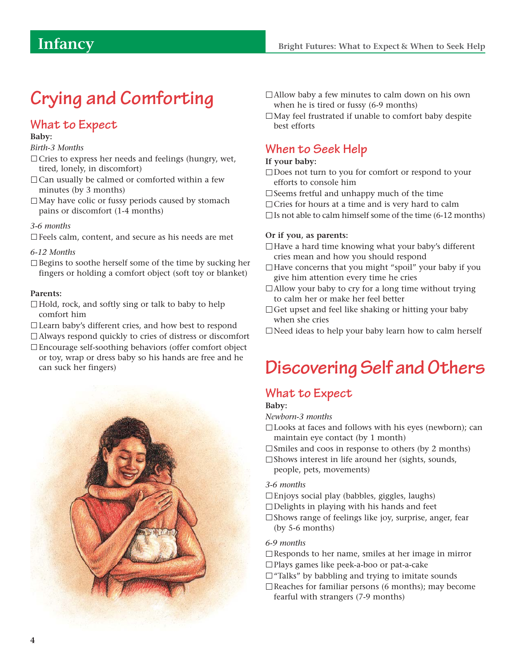## **Crying and Comforting**

### **What to Expect**

#### **Baby:**

#### *Birth-3 Months*

- $\Box$  Cries to express her needs and feelings (hungry, wet, tired, lonely, in discomfort)
- $\Box$  Can usually be calmed or comforted within a few minutes (by 3 months)
- $\Box$  May have colic or fussy periods caused by stomach pains or discomfort (1-4 months)

#### *3-6 months*

 $\square$  Feels calm, content, and secure as his needs are met

#### *6-12 Months*

 $\square$  Begins to soothe herself some of the time by sucking her fingers or holding a comfort object (soft toy or blanket)

#### **Parents:**

- $\Box$  Hold, rock, and softly sing or talk to baby to help comfort him
- Learn baby's different cries, and how best to respond
- Always respond quickly to cries of distress or discomfort Encourage self-soothing behaviors (offer comfort object
- or toy, wrap or dress baby so his hands are free and he can suck her fingers)



- □ Allow baby a few minutes to calm down on his own when he is tired or fussy (6-9 months)
- $\Box$  May feel frustrated if unable to comfort baby despite best efforts

### **When to Seek Help**

#### **If your baby:**

- □Does not turn to you for comfort or respond to your efforts to console him
- $\square$  Seems fretful and unhappy much of the time
- $\Box$  Cries for hours at a time and is very hard to calm
- $\square$  Is not able to calm himself some of the time (6-12 months)

#### **Or if you, as parents:**

- □ Have a hard time knowing what your baby's different cries mean and how you should respond
- $\Box$  Have concerns that you might "spoil" your baby if you give him attention every time he cries
- $\Box$  Allow your baby to cry for a long time without trying to calm her or make her feel better
- $\Box$  Get upset and feel like shaking or hitting your baby when she cries
- $\Box$  Need ideas to help your baby learn how to calm herself

## **Discovering Self and Others**

### **What to Expect**

#### **Baby:**

- *Newborn-3 months*
- □ Looks at faces and follows with his eyes (newborn); can maintain eye contact (by 1 month)
- $\square$  Smiles and coos in response to others (by 2 months)
- $\square$  Shows interest in life around her (sights, sounds, people, pets, movements)

#### *3-6 months*

- Enjoys social play (babbles, giggles, laughs)
- $\Box$  Delights in playing with his hands and feet
- $\square$  Shows range of feelings like joy, surprise, anger, fear (by 5-6 months)

#### *6-9 months*

- $\Box$ Responds to her name, smiles at her image in mirror
- Plays games like peek-a-boo or pat-a-cake
- $\Box$  "Talks" by babbling and trying to imitate sounds
- $\Box$  Reaches for familiar persons (6 months); may become fearful with strangers (7-9 months)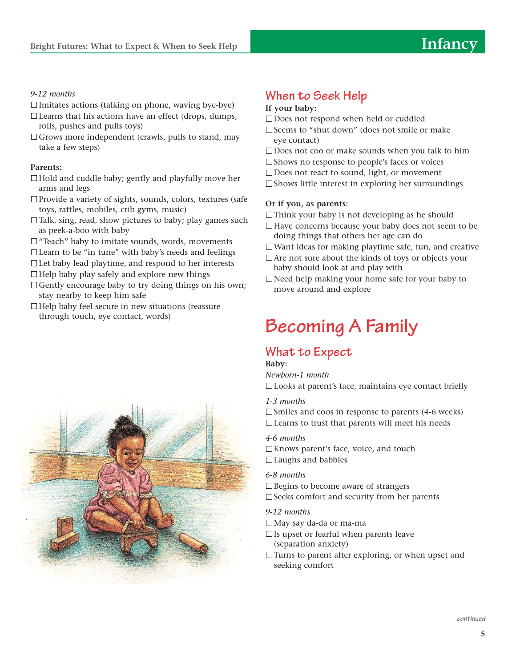#### *9-12 months*

- $\Box$  Imitates actions (talking on phone, waving bye-bye)
- $\Box$  Learns that his actions have an effect (drops, dumps, rolls, pushes and pulls toys)
- $\Box$  Grows more independent (crawls, pulls to stand, may take a few steps)

#### **Parents:**

- $\Box$  Hold and cuddle baby; gently and playfully move her arms and legs
- Provide a variety of sights, sounds, colors, textures (safe toys, rattles, mobiles, crib gyms, music)
- $\Box$  Talk, sing, read, show pictures to baby; play games such as peek-a-boo with baby
- $\Box$  "Teach" baby to imitate sounds, words, movements
- $\Box$  Learn to be "in tune" with baby's needs and feelings
- $\Box$  Let baby lead playtime, and respond to her interests
- $\Box$  Help baby play safely and explore new things
- $\Box$  Gently encourage baby to try doing things on his own; stay nearby to keep him safe
- $\Box$  Help baby feel secure in new situations (reassure through touch, eye contact, words)



## **When to Seek Help**

#### **If your baby:**

- □Does not respond when held or cuddled
- $\square$  Seems to "shut down" (does not smile or make eye contact)
- $\square$  Does not coo or make sounds when you talk to him
- $\square$  Shows no response to people's faces or voices
- □Does not react to sound, light, or movement
- $\square$  Shows little interest in exploring her surroundings

#### **Or if you, as parents:**

- $\Box$ Think your baby is not developing as he should
- $\Box$  Have concerns because your baby does not seem to be doing things that others her age can do
- $\Box$  Want ideas for making playtime safe, fun, and creative
- $\Box$  Are not sure about the kinds of toys or objects your baby should look at and play with
- $\Box$  Need help making your home safe for your baby to move around and explore

## **Becoming A Family**

## **What to Expect**

**Baby:**

*Newborn-1 month*

Looks at parent's face, maintains eye contact briefly

#### *1-3 months*

 $\square$  Smiles and coos in response to parents (4-6 weeks)  $\Box$  Learns to trust that parents will meet his needs

#### *4-6 months*

□Knows parent's face, voice, and touch Laughs and babbles

#### *6-8 months*

 $\square$  Begins to become aware of strangers  $\square$  Seeks comfort and security from her parents

#### *9-12 months*

- May say da-da or ma-ma
- $\Box$  Is upset or fearful when parents leave (separation anxiety)
- $\Box$  Turns to parent after exploring, or when upset and seeking comfort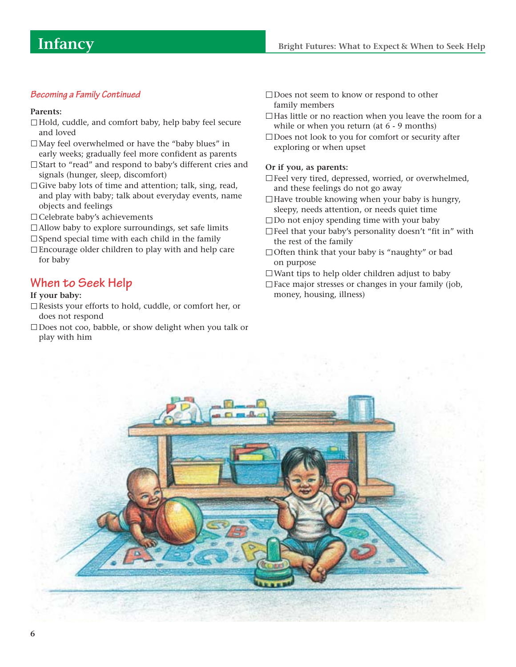#### **Becoming a Family Continued**

#### **Parents:**

- □Hold, cuddle, and comfort baby, help baby feel secure and loved
- $\Box$  May feel overwhelmed or have the "baby blues" in early weeks; gradually feel more confident as parents
- □ Start to "read" and respond to baby's different cries and signals (hunger, sleep, discomfort)
- $\Box$  Give baby lots of time and attention; talk, sing, read, and play with baby; talk about everyday events, name objects and feelings
- □ Celebrate baby's achievements
- $\Box$  Allow baby to explore surroundings, set safe limits

 $\square$  Spend special time with each child in the family

Encourage older children to play with and help care for baby

### **When to Seek Help**

#### **If your baby:**

- Resists your efforts to hold, cuddle, or comfort her, or does not respond
- □Does not coo, babble, or show delight when you talk or play with him
- □Does not seem to know or respond to other family members
- $\Box$  Has little or no reaction when you leave the room for a while or when you return (at 6 - 9 months)
- □Does not look to you for comfort or security after exploring or when upset

#### **Or if you, as parents:**

- □ Feel very tired, depressed, worried, or overwhelmed, and these feelings do not go away
- $\Box$  Have trouble knowing when your baby is hungry, sleepy, needs attention, or needs quiet time
- $\square$  Do not enjoy spending time with your baby
- $\Box$  Feel that your baby's personality doesn't "fit in" with the rest of the family
- □ Often think that your baby is "naughty" or bad on purpose
- $\square$  Want tips to help older children adjust to baby
- $\square$  Face major stresses or changes in your family (job, money, housing, illness)

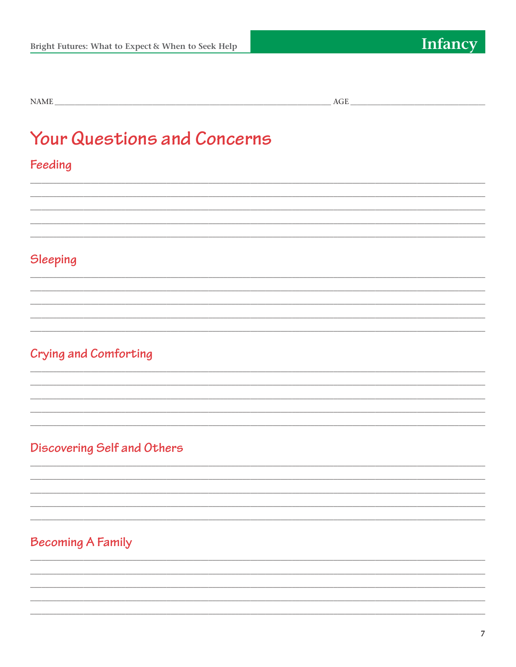$\text{NAME}\_\_\_\_\_\_\_$ 

## **Your Questions and Concerns**

## Feeding

## Sleeping

## Crying and Comforting

## Discovering Self and Others

## **Becoming A Family**